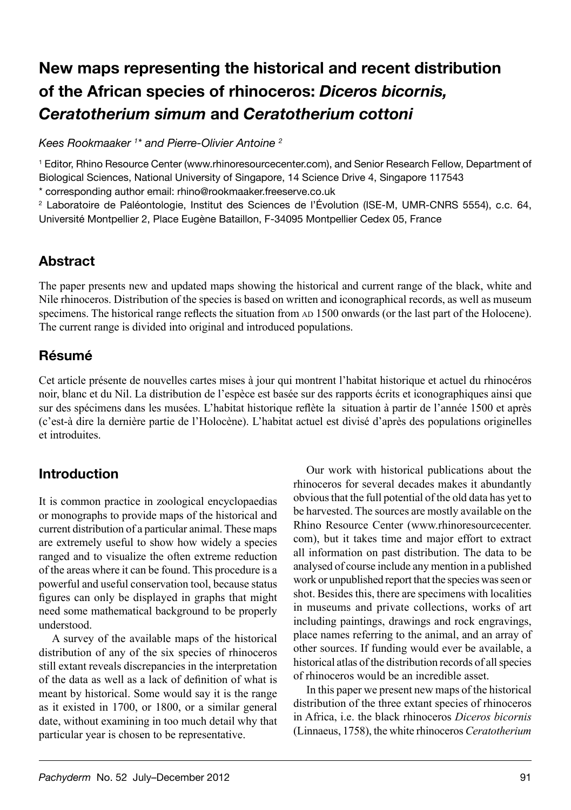# **New maps representing the historical and recent distribution of the African species of rhinoceros:** *Diceros bicornis, Ceratotherium simum* **and** *Ceratotherium cottoni*

*Kees Rookmaaker 1 \* and Pierre-Olivier Antoine 2*

1 Editor, Rhino Resource Center (www.rhinoresourcecenter.com), and Senior Research Fellow, Department of Biological Sciences, National University of Singapore, 14 Science Drive 4, Singapore 117543

\* corresponding author email: rhino@rookmaaker.freeserve.co.uk

2 Laboratoire de Paléontologie, Institut des Sciences de l'Évolution (ISE-M, UMR-CNRS 5554), c.c. 64, Université Montpellier 2, Place Eugène Bataillon, F-34095 Montpellier Cedex 05, France

## **Abstract**

The paper presents new and updated maps showing the historical and current range of the black, white and Nile rhinoceros. Distribution of the species is based on written and iconographical records, as well as museum specimens. The historical range reflects the situation from AD 1500 onwards (or the last part of the Holocene). The current range is divided into original and introduced populations.

## **Résumé**

Cet article présente de nouvelles cartes mises à jour qui montrent l'habitat historique et actuel du rhinocéros noir, blanc et du Nil. La distribution de l'espèce est basée sur des rapports écrits et iconographiques ainsi que sur des spécimens dans les musées. L'habitat historique reflète la situation à partir de l'année 1500 et après (c'est-à dire la dernière partie de l'Holocène). L'habitat actuel est divisé d'après des populations originelles et introduites.

## **Introduction**

It is common practice in zoological encyclopaedias or monographs to provide maps of the historical and current distribution of a particular animal. These maps are extremely useful to show how widely a species ranged and to visualize the often extreme reduction of the areas where it can be found. This procedure is a powerful and useful conservation tool, because status figures can only be displayed in graphs that might need some mathematical background to be properly understood.

A survey of the available maps of the historical distribution of any of the six species of rhinoceros still extant reveals discrepancies in the interpretation of the data as well as a lack of definition of what is meant by historical. Some would say it is the range as it existed in 1700, or 1800, or a similar general date, without examining in too much detail why that particular year is chosen to be representative.

Our work with historical publications about the rhinoceros for several decades makes it abundantly obvious that the full potential of the old data has yet to be harvested. The sources are mostly available on the Rhino Resource Center (www.rhinoresourcecenter. com), but it takes time and major effort to extract all information on past distribution. The data to be analysed of course include any mention in a published work or unpublished report that the species was seen or shot. Besides this, there are specimens with localities in museums and private collections, works of art including paintings, drawings and rock engravings, place names referring to the animal, and an array of other sources. If funding would ever be available, a historical atlas of the distribution records of all species of rhinoceros would be an incredible asset.

In this paper we present new maps of the historical distribution of the three extant species of rhinoceros in Africa, i.e. the black rhinoceros *Diceros bicornis* (Linnaeus, 1758), the white rhinoceros *Ceratotherium*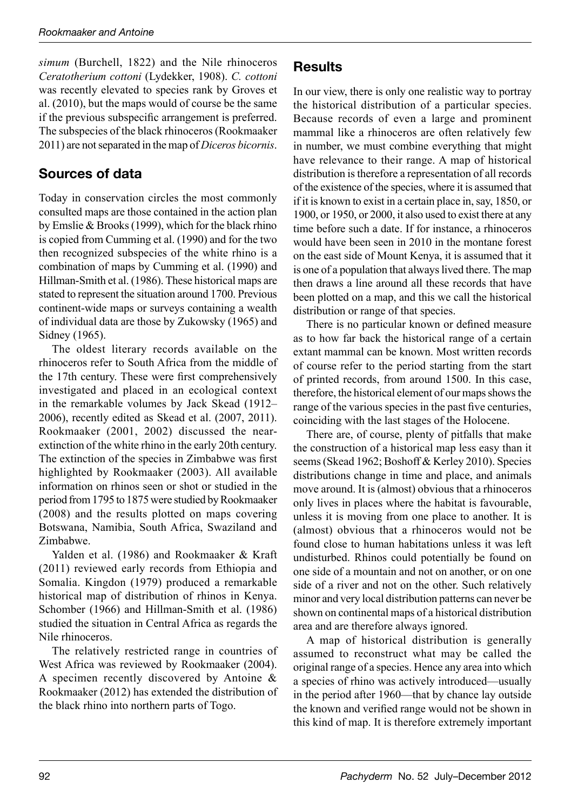*simum* (Burchell, 1822) and the Nile rhinoceros *Ceratotherium cottoni* (Lydekker, 1908). *C. cottoni* was recently elevated to species rank by Groves et al. (2010), but the maps would of course be the same if the previous subspecific arrangement is preferred. The subspecies of the black rhinoceros (Rookmaaker 2011) are not separated in the map of *Diceros bicornis*.

## **Sources of data**

Today in conservation circles the most commonly consulted maps are those contained in the action plan by Emslie & Brooks (1999), which for the black rhino is copied from Cumming et al. (1990) and for the two then recognized subspecies of the white rhino is a combination of maps by Cumming et al. (1990) and Hillman-Smith et al. (1986). These historical maps are stated to represent the situation around 1700. Previous continent-wide maps or surveys containing a wealth of individual data are those by Zukowsky (1965) and Sidney (1965).

The oldest literary records available on the rhinoceros refer to South Africa from the middle of the 17th century. These were first comprehensively investigated and placed in an ecological context in the remarkable volumes by Jack Skead (1912– 2006), recently edited as Skead et al. (2007, 2011). Rookmaaker (2001, 2002) discussed the nearextinction of the white rhino in the early 20th century. The extinction of the species in Zimbabwe was first highlighted by Rookmaaker (2003). All available information on rhinos seen or shot or studied in the period from 1795 to 1875 were studied by Rookmaaker (2008) and the results plotted on maps covering Botswana, Namibia, South Africa, Swaziland and Zimbabwe.

Yalden et al. (1986) and Rookmaaker & Kraft (2011) reviewed early records from Ethiopia and Somalia. Kingdon (1979) produced a remarkable historical map of distribution of rhinos in Kenya. Schomber (1966) and Hillman-Smith et al. (1986) studied the situation in Central Africa as regards the Nile rhinoceros.

The relatively restricted range in countries of West Africa was reviewed by Rookmaaker (2004). A specimen recently discovered by Antoine & Rookmaaker (2012) has extended the distribution of the black rhino into northern parts of Togo.

### **Results**

In our view, there is only one realistic way to portray the historical distribution of a particular species. Because records of even a large and prominent mammal like a rhinoceros are often relatively few in number, we must combine everything that might have relevance to their range. A map of historical distribution is therefore a representation of all records of the existence of the species, where it is assumed that if it is known to exist in a certain place in, say, 1850, or 1900, or 1950, or 2000, it also used to exist there at any time before such a date. If for instance, a rhinoceros would have been seen in 2010 in the montane forest on the east side of Mount Kenya, it is assumed that it is one of a population that always lived there. The map then draws a line around all these records that have been plotted on a map, and this we call the historical distribution or range of that species.

There is no particular known or defined measure as to how far back the historical range of a certain extant mammal can be known. Most written records of course refer to the period starting from the start of printed records, from around 1500. In this case, therefore, the historical element of our maps shows the range of the various species in the past five centuries, coinciding with the last stages of the Holocene.

There are, of course, plenty of pitfalls that make the construction of a historical map less easy than it seems (Skead 1962; Boshoff & Kerley 2010). Species distributions change in time and place, and animals move around. It is (almost) obvious that a rhinoceros only lives in places where the habitat is favourable, unless it is moving from one place to another. It is (almost) obvious that a rhinoceros would not be found close to human habitations unless it was left undisturbed. Rhinos could potentially be found on one side of a mountain and not on another, or on one side of a river and not on the other. Such relatively minor and very local distribution patterns can never be shown on continental maps of a historical distribution area and are therefore always ignored.

A map of historical distribution is generally assumed to reconstruct what may be called the original range of a species. Hence any area into which a species of rhino was actively introduced—usually in the period after 1960—that by chance lay outside the known and verified range would not be shown in this kind of map. It is therefore extremely important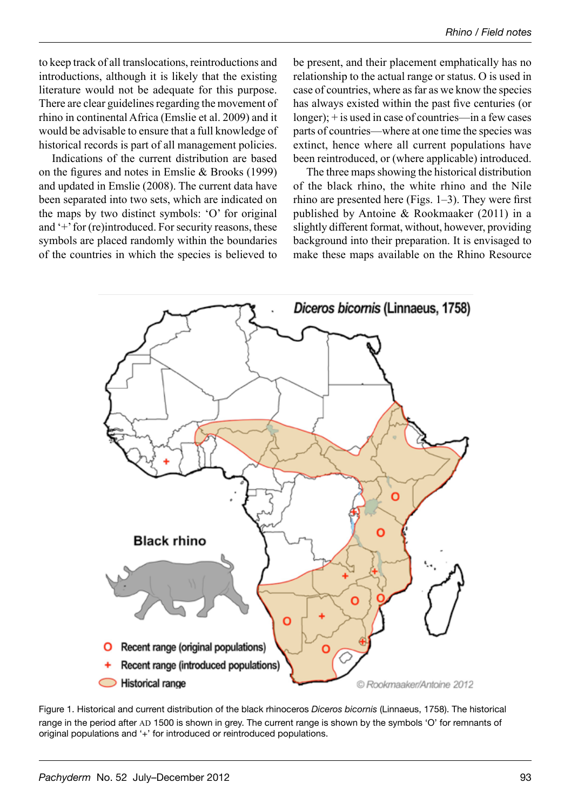to keep track of all translocations, reintroductions and introductions, although it is likely that the existing literature would not be adequate for this purpose. There are clear guidelines regarding the movement of rhino in continental Africa (Emslie et al. 2009) and it would be advisable to ensure that a full knowledge of historical records is part of all management policies.

Indications of the current distribution are based on the figures and notes in Emslie & Brooks (1999) and updated in Emslie (2008). The current data have been separated into two sets, which are indicated on the maps by two distinct symbols: 'O' for original and '+' for (re)introduced. For security reasons, these symbols are placed randomly within the boundaries of the countries in which the species is believed to

be present, and their placement emphatically has no relationship to the actual range or status. O is used in case of countries, where as far as we know the species has always existed within the past five centuries (or longer); + is used in case of countries—in a few cases parts of countries—where at one time the species was extinct, hence where all current populations have been reintroduced, or (where applicable) introduced.

The three maps showing the historical distribution of the black rhino, the white rhino and the Nile rhino are presented here (Figs. 1–3). They were first published by Antoine & Rookmaaker (2011) in a slightly different format, without, however, providing background into their preparation. It is envisaged to make these maps available on the Rhino Resource



Figure 1. Historical and current distribution of the black rhinoceros *Diceros bicornis* (Linnaeus, 1758). The historical range in the period after AD 1500 is shown in grey. The current range is shown by the symbols 'O' for remnants of original populations and '+' for introduced or reintroduced populations.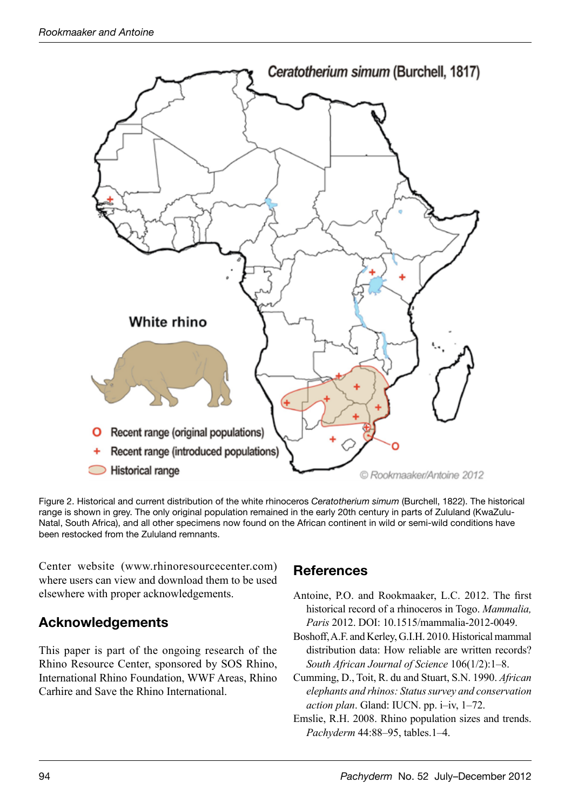

Figure 2. Historical and current distribution of the white rhinoceros *Ceratotherium simum* (Burchell, 1822). The historical range is shown in grey. The only original population remained in the early 20th century in parts of Zululand (KwaZulu-Natal, South Africa), and all other specimens now found on the African continent in wild or semi-wild conditions have been restocked from the Zululand remnants.

Center website (www.rhinoresourcecenter.com) where users can view and download them to be used elsewhere with proper acknowledgements.

## **Acknowledgements**

This paper is part of the ongoing research of the Rhino Resource Center, sponsored by SOS Rhino, International Rhino Foundation, WWF Areas, Rhino Carhire and Save the Rhino International.

## **References**

- Antoine, P.O. and Rookmaaker, L.C. 2012. The first historical record of a rhinoceros in Togo. *Mammalia, Paris* 2012. DOI: 10.1515/mammalia-2012-0049.
- Boshoff, A.F. and Kerley, G.I.H. 2010. Historical mammal distribution data: How reliable are written records? *South African Journal of Science* 106(1/2):1–8.
- Cumming, D., Toit, R. du and Stuart, S.N. 1990. *African elephants and rhinos: Status survey and conservation action plan*. Gland: IUCN. pp. i–iv, 1–72.
- Emslie, R.H. 2008. Rhino population sizes and trends. *Pachyderm* 44:88–95, tables.1–4.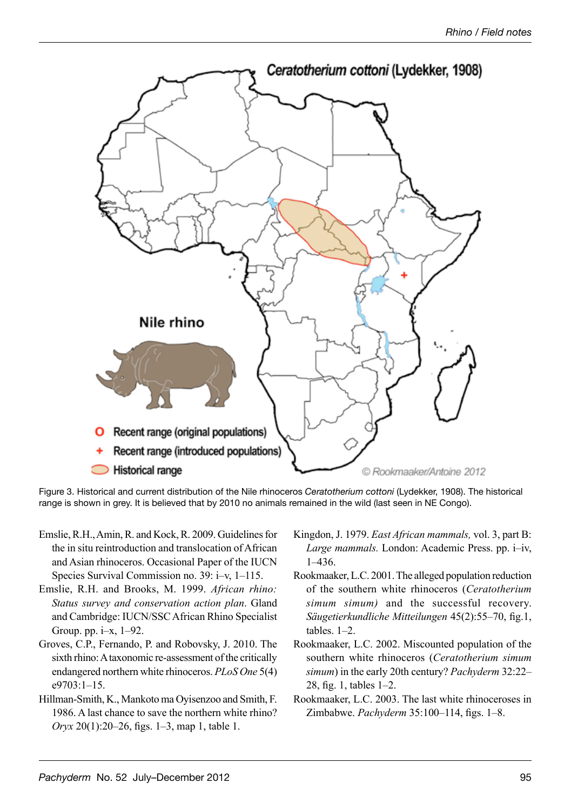

Figure 3. Historical and current distribution of the Nile rhinoceros *Ceratotherium cottoni* (Lydekker, 1908). The historical range is shown in grey. It is believed that by 2010 no animals remained in the wild (last seen in NE Congo).

- Emslie, R.H., Amin, R. and Kock, R. 2009. Guidelines for the in situ reintroduction and translocation of African and Asian rhinoceros. Occasional Paper of the IUCN Species Survival Commission no. 39: i–v, 1–115.
- Emslie, R.H. and Brooks, M. 1999. *African rhino: Status survey and conservation action plan*. Gland and Cambridge: IUCN/SSC African Rhino Specialist Group. pp. i–x, 1–92.
- Groves, C.P., Fernando, P. and Robovsky, J. 2010. The sixth rhino: A taxonomic re-assessment of the critically endangered northern white rhinoceros. *PLoS One* 5(4) e9703:1–15.
- Hillman-Smith, K., Mankoto ma Oyisenzoo and Smith, F. 1986. A last chance to save the northern white rhino? *Oryx* 20(1):20–26, figs. 1–3, map 1, table 1.
- Kingdon, J. 1979. *East African mammals,* vol. 3, part B: *Large mammals.* London: Academic Press. pp. i–iv, 1–436.
- Rookmaaker, L.C. 2001. The alleged population reduction of the southern white rhinoceros (*Ceratotherium simum simum)* and the successful recovery. *Säugetierkundliche Mitteilungen* 45(2):55–70, fig.1, tables. 1–2.
- Rookmaaker, L.C. 2002. Miscounted population of the southern white rhinoceros (*Ceratotherium simum simum*) in the early 20th century? *Pachyderm* 32:22– 28, fig. 1, tables 1–2.
- Rookmaaker, L.C. 2003. The last white rhinoceroses in Zimbabwe. *Pachyderm* 35:100–114, figs. 1–8.